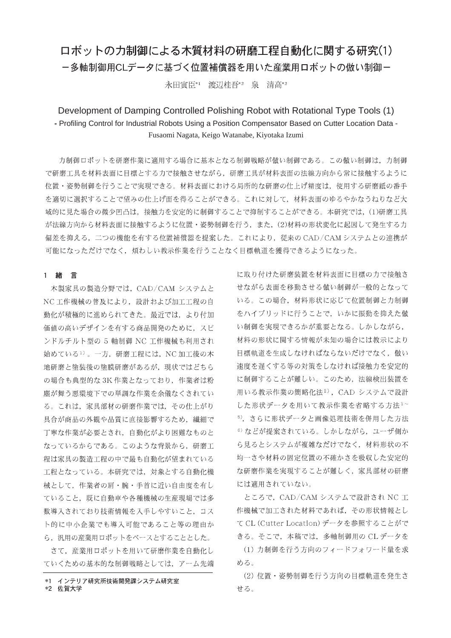# ロボットの力制御による木質材料の研磨工程自動化に関する研究(1)

ー多軸制御用CLデータに基づく位置補償器を用いた産業用ロボットの倣い制御ー

永田寅臣\*1 渡辺桂吾\*2 泉 清高\*2

## Development of Damping Controlled Polishing Robot with Rotational Type Tools (1) - Profiling Control for Industrial Robots Using a Position Compensator Based on Cutter Location Data -Fusaomi Nagata, Keigo Watanabe, Kiyotaka Izumi

力制御ロボットを研磨作業に適用する場合に基本となる制御戦略が倣い制御である。この倣い制御は、力制御 で研磨工具を材料表面に目標とする力で接触させながら、研磨工具が材料表面の法線方向から常に接触するように 位置・姿勢制御を行うことで実現できる。材料表面における局所的な研磨の仕上げ精度は、使用する研磨紙の番手 を適切に選択することで望みの仕上げ面を得ることができる。これに対して、材料表面のゆるやかなうねりなど大 域的に見た場合の微少凹凸は、接触力を安定的に制御することで抑制することができる。本研究では、(1)研磨工具 が法線方向から材料表面に接触するように位置·姿勢制御を行う、また、(2)材料の形状変化に起因して発生する力 偏差を抑える、二つの機能を有する位置補償器を提案した。これにより、従来の CAD/CAM システムとの連携が 可能になっただけでなく、煩わしい教示作業を行うことなく目標軌道を獲得できるようになった。

### 1 緒 言

木製家具の製造分野では、CAD/CAM システムと NC工作機械の普及により、設計および加工工程の自 動化が積極的に進められてきた。最近では、より付加 価値の高いデザインを有する商品開発のために、スピ ンドルチルト型の 5 軸制御 NC 工作機械も利用され 始めている1)。一方、研磨工程には、NC加工後の木 地研磨と塗装後の塗膜研磨があるが、現状ではどちら の場合も典型的な 3K 作業となっており、作業者は粉 塵が舞う悪環境下での単調な作業を余儀なくされてい る。これは、家具部材の研磨作業では、その仕上がり 具合が商品の外観や品質に直接影響するため、繊細で 丁寧な作業が必要とされ、自動化がより困難なものと なっているからである。このような背景から、研磨工 程は家具の製造工程の中で最も自動化が望まれている 工程となっている。本研究では、対象とする自動化機 械として、作業者の肩・腕・手首に近い自由度を有し ていること、既に自動車や各種機械の生産現場では多 数導入されており技術情報を入手しやすいこと、コス ト的に中小企業でも導入可能であること等の理由か ら、汎用の産業用ロボットをベースとすることとした。

さて、産業用ロボットを用いて研磨作業を自動化し ていくための基本的な制御戦略としては、アーム先端

\*2 佐賀大学

に取り付けた研磨装置を材料表面に目標の力で接触さ せながら表面を移動させる倣い制御が一般的となって いる。この場合、材料形状に応じて位置制御と力制御 をハイブリッドに行うことで、いかに振動を抑えた倣 い制御を実現できるかが重要となる。しかしながら, 材料の形状に関する情報が未知の場合には教示により 目標軌道を生成しなければならないだけでなく、倣い 速度を遅くする等の対策をしなければ接触力を安定的 に制御することが難しい。このため、法線検出装置を 用いる教示作業の簡略化法2), CAD システムで設計 した形状データを用いて教示作業を省略する方法3~ 5), さらに形状データと画像処理技術を併用した方法 6) などが提案されている。しかしながら、ユーザ側か ら見るとシステムが複雑なだけでなく、材料形状の不 均一さや材料の固定位置の不確かさを吸収した安定的 な研磨作業を実現することが難しく、家具部材の研磨 には適用されていない。

ところで、CAD/CAM システムで設計され NC 工 作機械で加工された材料であれば、その形状情報とし て CL (Cutter Location) データを参照することがで きる。そこで、本稿では、多軸制御用の CL データを

(1) 力制御を行う方向のフィードフォワード量を求 める。

(2) 位置·姿勢制御を行う方向の目標軌道を発生さ せる。

<sup>\*1</sup> インテリア研究所技術開発課システム研究室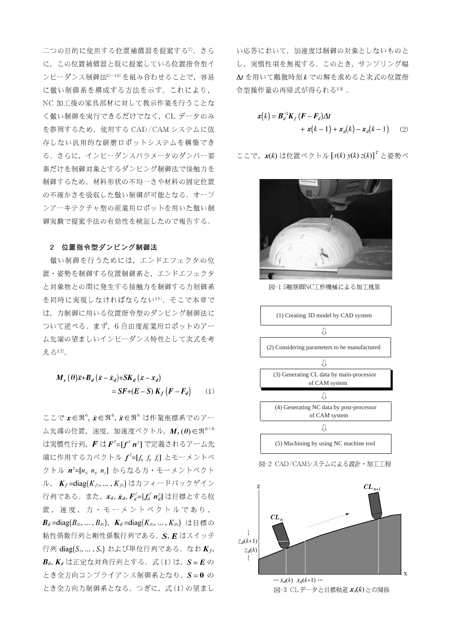二つの目的に使用する位置補償器を提案する<sup>7</sup>。さら に、この位置補償器と既に提案している位置指令型イ ンピーダンス制御法8)~10)を組み合わせることで、容易 に倣い制御系を構成する方法を示す。これにより. NC 加工後の家具部材に対して教示作業を行うことな く倣い制御を実行できるだけでなく、CL データのみ を参照するため、使用する CAD/CAM システムに依 存しない汎用的な研磨ロボットシステムを構築でき る。さらに、インピーダンスパラメータのダンパー要 素だけを制御対象とするダンピング制御法で接触力を 制御するため、材料形状の不均一さや材料の固定位置 の不確かさを吸収した倣い制御が可能となる。オープ ンアーキテクチャ型の産業用ロボットを用いた倣い制 御実験で提案手法の有効性を検証したので報告する。

#### 2 位置指令型ダンピング制御法

倣い制御を行うためには、エンドエフェクタの位 置·姿勢を制御する位置制御系と、エンドエフェクタ と対象物との間に発生する接触力を制御する力制御系 を同時に実現しなければならない11)。そこで本章で は、力制御に用いる位置指令型のダンピング制御法に ついて述べる。まず、6自由度産業用ロボットのアー ム先端の望ましいインピーダンス特性として次式を考 える12)。

$$
M_x(\theta)\ddot{x} + B_d(\dot{x} - \dot{x}_d) + SK_d(x - x_d)
$$
  
= SF + (E - S) K\_f (F - F\_d) (1)

ここで  $x \in \mathfrak{R}^6$ ,  $\dot{x} \in \mathfrak{R}^6$ ,  $\ddot{x} \in \mathfrak{R}^6$  は作業座標系でのアー ム先端の位置, 速度, 加速度ベクトル,  $M_{x}(\theta) \in \mathfrak{R}^{6 \times 6}$ は実慣性行列,  $\boldsymbol{F}$ は $\boldsymbol{F}^T = [\boldsymbol{f}^T \boldsymbol{n}^T]$ で定義されるアーム先 端に作用する力ベクトル  $f=[f_x f_y f_z]$  とモーメントベ クトル  $n^{\tau}$ =[ $n_x$   $n_y$   $n_z$ ] からなる力・モーメントベクト ル,  $K_f = \text{diag}(K_{f1}, ..., K_{f6})$ はカフィードバックゲイン 行列である。また、 $x_d$ ,  $\dot{x}_d$ ,  $F_d^T = [f_d^T n_d^T]$ は目標とする位 置,速度,力·モーメントベクトルであり,  $\boldsymbol{B}_d = \text{diag}(B_{d_1}, \ldots, B_{d_6}), \ \ \boldsymbol{K}_d = \text{diag}(K_{d_1}, \ldots, K_{d_6}) \ \ \forall \exists \ \forall \ \theta \in \mathcal{B}$ 粘性係数行列と剛性係数行列である。S, E はスイッチ 行列 diag( $S_1, \ldots, S_6$ ) および単位行列である。なお $K_f$ ,  $B_d$ ,  $K_d$  は正定な対角行列とする。式(1)は、 $S = E$ の とき全方向コンプライアンス制御系となり, S=0 の とき全方向力制御系となる。つぎに、式(1)の望まし

い応答において、加速度は制御の対象としないものと し、実慣性項を無視する。このとき、サンプリング幅 At を用いて離散時刻k での解を求めると次式の位置指 令型操作量の再帰式が得られる13)。

$$
\mathbf{x}(k) = \mathbf{B}_d^{-1} \mathbf{K}_f \left( \mathbf{F} - \mathbf{F}_d \right) \Delta t \n+ \mathbf{x}(k-1) + \mathbf{x}_d(k) - \mathbf{x}_d(k-1) \tag{2}
$$

ここで、 $x(k)$ は位置ベクトル  $[x(k) y(k) z(k)]^T$  と姿勢べ



図-15軸制御NC工作機械による加工風景



 $\cdots x_d(k)$   $\ x_d(k{+}1)\cdots$ 図-3 CLデータと目標軌道  $x_d(k)$ との関係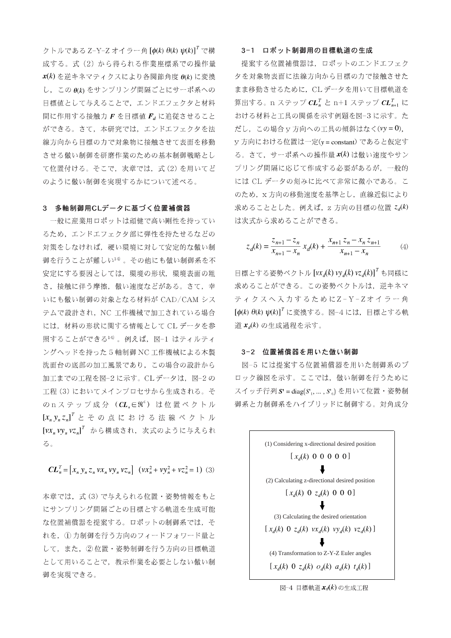クトルである Z-Y-Z オイラー角  $\left[\phi(k) \theta(k) \psi(k)\right]^T$ で構 成する。式(2)から得られる作業座標系での操作量  $\mathbf{x}(k)$ を逆キネマティクスにより各関節角度 $\theta(k)$ に変換 し、この θ(k) をサンプリング間隔ごとにサーボ系への 目標値として与えることで、エンドエフェクタと材料 間に作用する接触力 F を目標値 F に追従させること ができる。さて、本研究では、エンドエフェクタを法 線方向から目標の力で対象物に接触させて表面を移動 させる倣い制御を研磨作業のための基本制御戦略とし て位置付ける。そこで、次章では、式(2)を用いてど のように倣い制御を実現するかについて述べる。

### 3 多軸制御用CLデータに基づく位置補償器

一般に産業用ロボットは頑健で高い剛性を持ってい るため、エンドエフェクタ部に弾性を持たせるなどの 対策をしなければ、硬い環境に対して安定的な倣い制 御を行うことが難しい14)。その他にも倣い制御系を不 安定にする要因としては、環境の形状、環境表面の粗 さ、接触に伴う摩擦、倣い速度などがある。さて、幸 いにも倣い制御の対象となる材料が CAD/CAM シス テムで設計され、NC 工作機械で加工されている場合 には、材料の形状に関する情報として CL データを参 照することができる14)。例えば、図-1 はティルティ ングヘッドを持った5軸制御 NC工作機械による木製 洗面台の底部の加工風景であり、この場合の設計から 加工までの工程を図-2に示す。CLデータは、図-2の 工程(3)においてメインプロセサから生成される。そ のnステップ成分 ( $CL_e \in \Re^6$ ) は位置ベクトル  $[x_n y_n z_n]^T$  とその点における法線ベクトル  $[vx_n vy_n vz_n]^T$  から構成され、次式のように与えられ る。

 $CL_n^T = [x_n y_n z_n v x_n v y_n v z_n]$   $(vx_n^2 + v y_n^2 + v z_n^2 = 1)$  (3)

本章では、式(3)で与えられる位置·姿勢情報をもと にサンプリング間隔ごとの目標とする軌道を生成可能 な位置補償器を提案する。ロボットの制御系では、そ れを、(1) 力制御を行う方向のフィードフォワード量と して、また、2位置·姿勢制御を行う方向の目標軌道 として用いることで、教示作業を必要としない倣い制 御を実現できる。

#### 3-1 ロボット制御用の目標軌道の生成

提案する位置補償器は、ロボットのエンドエフェク 夕を対象物表面に法線方向から目標の力で接触させた まま移動させるために、CLデータを用いて目標軌道を 算出する。n ステップ  $\pmb{C} \pmb{L}_n^T$  と n+1 ステップ  $\pmb{C} \pmb{L}_{n+1}^T$  に おける材料と工具の関係を示す例題を図-3に示す。た だし、この場合 y 方向への工具の傾斜はなく(vy=0), y方向における位置は一定(y = constant) であると仮定す る。さて、サーボ系への操作量 x(k) は倣い速度やサン プリング間隔に応じて作成する必要があるが、一般的 には CL データの刻みに比べて非常に微小である。こ のため, x 方向の移動速度を基準とし、直線近似により 求めることとした。例えば、z 方向の目標の位置  $z_d(k)$ は次式から求めることができる。

$$
z_d(k) = \frac{z_{n+1} - z_n}{x_{n+1} - x_n} x_d(k) + \frac{x_{n+1} z_n - x_n z_{n+1}}{x_{n+1} - x_n}
$$
(4)

目標とする姿勢ベクトル [vx<sub>d</sub>(k) vy<sub>d</sub>(k) vz<sub>d</sub>(k)]<sup>T</sup> も同様に 求めることができる。この姿勢ベクトルは、逆キネマ ティクスへ入力するためにZ-Y-Zオイラー角  $\left[\phi(k) \; \theta(k) \; \psi(k)\right]^T$ に変換する。図-4には、目標とする軌 道 $x_d(k)$ の生成過程を示す。

#### 3-2 位置補償器を用いた倣い制御

図-5 には提案する位置補償器を用いた制御系のブ ロック線図を示す。ここでは、倣い制御を行うために スイッチ行列 $S' = diag(S_1, ..., S_n)$ を用いて位置・姿勢制 御系と力制御系をハイブリッドに制御する。対角成分



図-4 目標軌道 xd(k)の生成工程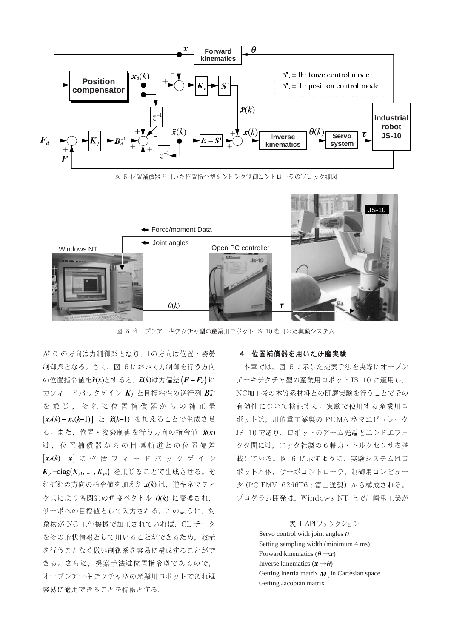

図-5 位置補償器を用いた位置指令型ダンピング制御コントローラのブロック線図



図-6 オープンアーキテクチャ型の産業用ロボット JS-10 を用いた実験システム

が O の方向は力制御系となり, 1の方向は位置·姿勢 制御系となる。さて、図-5において力制御を行う方向 の位置指令値を $\tilde{\mathbf{x}}(k)$ とすると、 $\tilde{\mathbf{x}}(k)$ は力偏差 $(F - F_d)$ に カフィードバックゲイン  $K_f$  と目標粘性の逆行列  $B_d^{-1}$ を乗じ、それに位置補償器からの補正量  $[x_d(k) - x_d(k-1)] \succeq \tilde{x}(k-1)$  を加えることで生成させ る。また、位置·姿勢制御を行う方向の指令値  $\hat{x}(k)$ は、位置補償器からの目標軌道との位置偏差  $[x_d(k)-x]$ に位置フィードバックゲイン  $K_p$  = diag( $K_{p1},...,K_{p6}$ ) を乗じることで生成させる。そ れぞれの方向の指令値を加えた x(k) は、逆キネマティ クスにより各関節の角度ベクトル θ(k) に変換され, サーボへの目標値として入力される。このように、対 象物が NC 工作機械で加工されていれば、CL データ をその形状情報として用いることができるため、教示 を行うことなく倣い制御系を容易に構成することがで きる。さらに、提案手法は位置指令型であるので, オープンアーキテクチャ型の産業用ロボットであれば 容易に適用できることを特徴とする。

#### 4 位置補償器を用いた研磨実験

本章では、図-5に示した提案手法を実際にオープン アーキテクチャ型の産業用ロボットJS-10に適用し, NC加工後の木質系材料との研磨実験を行うことでその 有効性について検証する。実験で使用する産業用ロ ボットは、川崎重工業製の PUMA 型マニピュレータ JS-10 であり, ロボットのアーム先端とエンドエフェ クタ間には、ニッタ社製の6軸力・トルクセンサを搭 載している。図-6 に示すように、実験システムはロ ボット本体、サーボコントローラ、制御用コンピュー 夕 (PC FMV-6266T6:富士通製)から構成される。 プログラム開発は、Windows NT 上で川崎重工業が

#### 表-1 API ファンクション

Servo control with joint angles  $\theta$ Setting sampling width (minimum 4 ms) Forward kinematics  $(\theta \rightarrow x)$ Inverse kinematics  $(x \rightarrow \theta)$ Getting inertia matrix  $M_r$  in Cartesian space Getting Jacobian matrix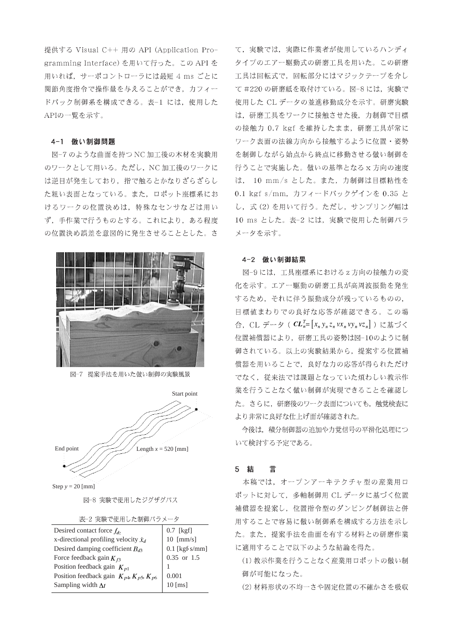提供する Visual C++ 用の API (Application Programming Interface) を用いて行った。この API を 用いれば、サーボコントローラには最短 4 ms ごとに 関節角度指令で操作量を与えることができ、カフィー ドバック制御系を構成できる。表-1 には、使用した APIの一覧を示す。

#### 4-1 倣い制御問題

図-7のような曲面を持つ NC 加工後の木材を実験用 のワークとして用いる。ただし、NC加工後のワークに は逆目が発生しており、指で触るとかなりざらざらし た粗い表面となっている。また、ロボット座標系にお けるワークの位置決めは、特殊なセンサなどは用い ず、手作業で行うものとする。これにより、ある程度 の位置決め誤差を意図的に発生させることとした。さ



図-7 提案手法を用いた倣い制御の実験風景



Step  $y = 20$  [mm]

図-8 実験で使用したジグザグパス

表-2 実験で使用した制御パラメータ

| Desired contact force $f_{dz}$                        | 0.7 [kgf]        |
|-------------------------------------------------------|------------------|
| x-directional profiling velocity $\dot{x}_d$          | $10$ [mm/s]      |
| Desired damping coefficient $B_{d3}$                  | $0.1$ [kgf s/mm] |
| Force feedback gain $K_{f3}$                          | 0.35 or 1.5      |
| Position feedback gain $K_{p1}$                       |                  |
| Position feedback gain $K_{p4}$ , $K_{p5}$ , $K_{p6}$ | 0.001            |
| Sampling width $\Delta t$                             | $10$ [ms]        |
|                                                       |                  |

て、実験では、実際に作業者が使用しているハンディ タイプのエアー駆動式の研磨工具を用いた。この研磨 工具は回転式で、回転部分にはマジックテープを介し て#220の研磨紙を取付けている。図-8には、実験で 使用した CL データの並進移動成分を示す。研磨実験 は、研磨工具をワークに接触させた後、力制御で目標 の接触力 0.7 kgf を維持したまま、研磨工具が常に ワーク表面の法線方向から接触するように位置・姿勢 を制御しながら始点から終点に移動させる倣い制御を 行うことで実施した。倣いの基準となるx方向の速度 は、 10 mm/s とした。また、力制御は目標粘性を 0.1 kgf s/mm, カフィードバックゲインを 0.35 と し、式(2)を用いて行う。ただし、サンプリング幅は 10 ms とした。表-2 には、実験で使用した制御パラ メータを示す。

#### 4-2 倣い制御結果

図-9には、工具座標系におけるz方向の接触力の変 化を示す。エアー駆動の研磨工具が高周波振動を発生 するため、それに伴う振動成分が残っているものの, 目標値まわりでの良好な応答が確認できる。この場 合, CL データ (  $\mathbf{CL}_{n}^{T} = [x_{n} y_{n} z_{n} v x_{n} v y_{n} v z_{n}]$  ) に基づく 位置補償器により、研磨工具の姿勢は図-10のように制 御されている。以上の実験結果から、提案する位置補 償器を用いることで、良好な力の応答が得られただけ でなく、従来法では課題となっていた煩わしい教示作 業を行うことなく倣い制御が実現できることを確認し た。さらに、研磨後のワーク表面についても、触覚検査に より非常に良好な仕上げ面が確認された。

今後は、積分制御器の追加や力覚信号の平滑化処理につ いて検討する予定である。

#### 5 結 言

本稿では、オープンアーキテクチャ型の産業用ロ ボットに対して、多軸制御用 CL データに基づく位置 補償器を提案し、位置指令型のダンピング制御法と併 用することで容易に倣い制御系を構成する方法を示し た。また、提案手法を曲面を有する材料との研磨作業 に適用することで以下のような結論を得た。

(1) 教示作業を行うことなく産業用ロボットの倣い制 御が可能になった。

(2) 材料形状の不均一さや固定位置の不確かさを吸収